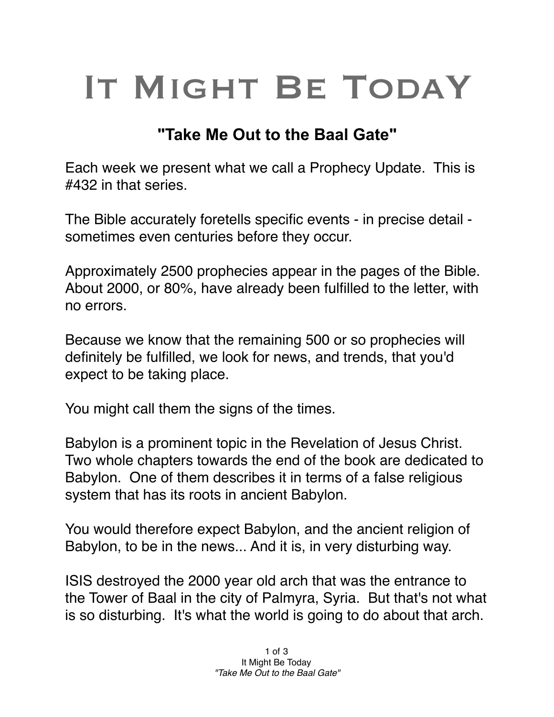## IT MIGHT BE TODAY

## **"Take Me Out to the Baal Gate"**

Each week we present what we call a Prophecy Update. This is #432 in that series.

The Bible accurately foretells specific events - in precise detail sometimes even centuries before they occur.

Approximately 2500 prophecies appear in the pages of the Bible. About 2000, or 80%, have already been fulfilled to the letter, with no errors.

Because we know that the remaining 500 or so prophecies will definitely be fulfilled, we look for news, and trends, that you'd expect to be taking place.

You might call them the signs of the times.

Babylon is a prominent topic in the Revelation of Jesus Christ. Two whole chapters towards the end of the book are dedicated to Babylon. One of them describes it in terms of a false religious system that has its roots in ancient Babylon.

You would therefore expect Babylon, and the ancient religion of Babylon, to be in the news... And it is, in very disturbing way.

ISIS destroyed the 2000 year old arch that was the entrance to the Tower of Baal in the city of Palmyra, Syria. But that's not what is so disturbing. It's what the world is going to do about that arch.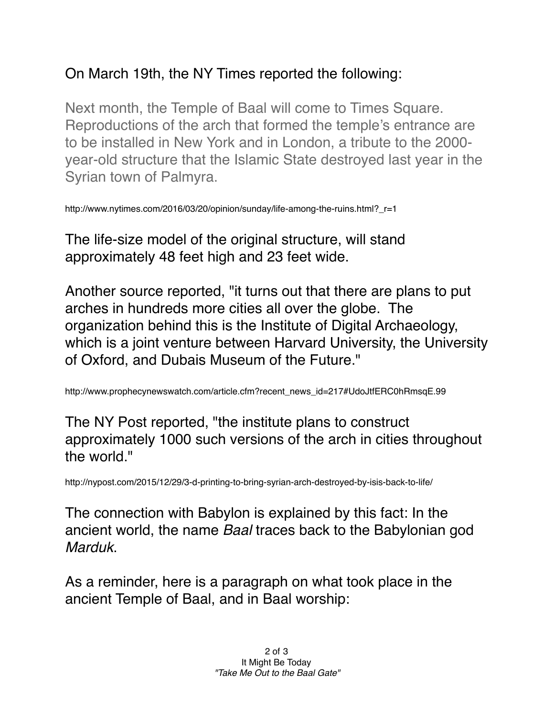## On March 19th, the NY Times reported the following:

Next month, the Temple of Baal will come to Times Square. Reproductions of the arch that formed the temple's entrance are to be installed in New York and in London, a tribute to the 2000 year-old structure that the Islamic State destroyed last year in the Syrian town of Palmyra.

http://www.nytimes.com/2016/03/20/opinion/sunday/life-among-the-ruins.html?\_r=1

The life-size model of the original structure, will stand approximately 48 feet high and 23 feet wide.

Another source reported, "it turns out that there are plans to put arches in hundreds more cities all over the globe. The organization behind this is the Institute of Digital Archaeology, which is a joint venture between Harvard University, the University of Oxford, and Dubais Museum of the Future."

http://www.prophecynewswatch.com/article.cfm?recent\_news\_id=217#UdoJtfERC0hRmsqE.99

The NY Post reported, "the institute plans to construct approximately 1000 such versions of the arch in cities throughout the world."

http://nypost.com/2015/12/29/3-d-printing-to-bring-syrian-arch-destroyed-by-isis-back-to-life/

The connection with Babylon is explained by this fact: In the ancient world, the name *Baal* traces back to the Babylonian god *Marduk*.

As a reminder, here is a paragraph on what took place in the ancient Temple of Baal, and in Baal worship: